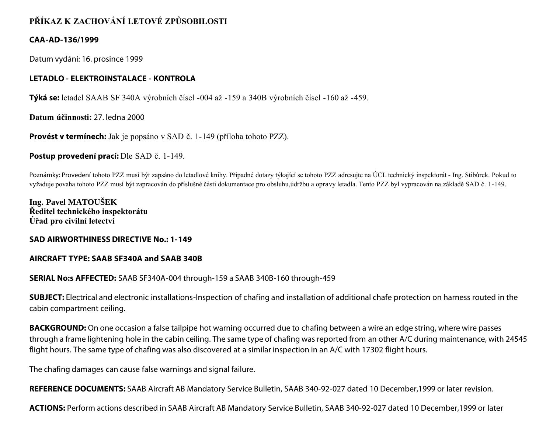# **PŘÍKAZ K ZACHOVÁNÍ LETOVÉ ZPŮSOBILOSTI**

## **CAA-AD-136/1999**

Datum vydání: 16. prosince 1999

## **LETADLO - ELEKTROINSTALACE - KONTROLA**

**Týká se:** letadel SAAB SF 340A výrobních čísel -004 až -159 a 340B výrobních čísel -160 až -459.

**Datum účinnosti:** 27. ledna 2000

**Provést v termínech:** Jak je popsáno v SAD č. 1-149 (příloha tohoto PZZ).

### **Postup provedení prací:** Dle SAD č. 1-149.

Poznámky: Provedení tohoto PZZ musí být zapsáno do letadlové knihy. Případné dotazy týkající se tohoto PZZ adresujte na ÚCL technický inspektorát - Ing. Stibůrek. Pokud to vyžaduje povaha tohoto PZZ musí být zapracován do příslušné části dokumentace pro obsluhu,údržbu a opravy letadla. Tento PZZ byl vypracován na základě SAD č. 1-149.

**Ing. Pavel MATOUŠEK Ředitel technického inspektorátu Úřad pro civilní letectví**

#### **SAD AIRWORTHINESS DIRECTIVE No.: 1-149**

## **AIRCRAFT TYPE: SAAB SF340A and SAAB 340B**

## **SERIAL No:s AFFECTED:** SAAB SF340A-004 through-159 a SAAB 340B-160 through-459

**SUBJECT:** Electrical and electronic installations-Inspection of chafing and installation of additional chafe protection on harness routed in the cabin compartment ceiling.

**BACKGROUND:** On one occasion a false tailpipe hot warning occurred due to chafing between a wire an edge string, where wire passes through a frame lightening hole in the cabin ceiling. The same type of chafing was reported from an other A/C during maintenance, with 24545 flight hours. The same type of chafing was also discovered at a similar inspection in an A/C with 17302 flight hours.

The chafing damages can cause false warnings and signal failure.

**REFERENCE DOCUMENTS:** SAAB Aircraft AB Mandatory Service Bulletin, SAAB 340-92-027 dated 10 December,1999 or later revision.

**ACTIONS:** Perform actions described in SAAB Aircraft AB Mandatory Service Bulletin, SAAB 340-92-027 dated 10 December,1999 or later